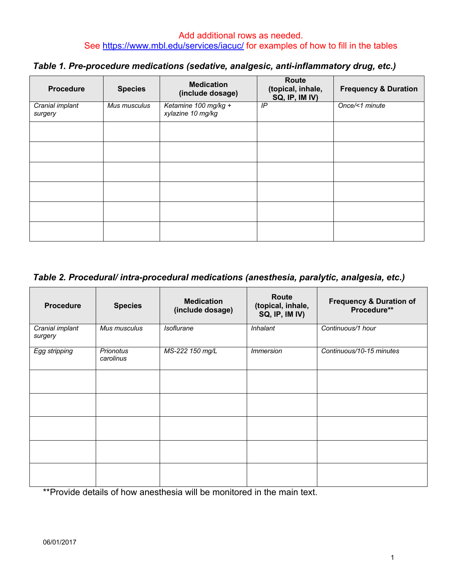| Table 1. Pre-procedure medications (sedative, analgesic, anti-inflammatory drug, etc.) |  |  |  |  |  |
|----------------------------------------------------------------------------------------|--|--|--|--|--|
|----------------------------------------------------------------------------------------|--|--|--|--|--|

| <b>Procedure</b>           | <b>Species</b> | <b>Medication</b><br>(include dosage)     | <b>Route</b><br>(topical, inhale,<br>SQ, IP, IM IV) | <b>Frequency &amp; Duration</b> |
|----------------------------|----------------|-------------------------------------------|-----------------------------------------------------|---------------------------------|
| Cranial implant<br>surgery | Mus musculus   | Ketamine 100 mg/kg +<br>xylazine 10 mg/kg | IP                                                  | Once/<1 minute                  |
|                            |                |                                           |                                                     |                                 |
|                            |                |                                           |                                                     |                                 |
|                            |                |                                           |                                                     |                                 |
|                            |                |                                           |                                                     |                                 |
|                            |                |                                           |                                                     |                                 |
|                            |                |                                           |                                                     |                                 |

## *Table 2. Procedural/ intra-procedural medications (anesthesia, paralytic, analgesia, etc.)*

| <b>Procedure</b>           | <b>Species</b>         | <b>Medication</b><br>(include dosage) | Route<br>(topical, inhale,<br>SQ, IP, IM IV) | <b>Frequency &amp; Duration of</b><br>Procedure** |
|----------------------------|------------------------|---------------------------------------|----------------------------------------------|---------------------------------------------------|
| Cranial implant<br>surgery | Mus musculus           | <i>Isoflurane</i>                     | <b>Inhalant</b>                              | Continuous/1 hour                                 |
| Egg stripping              | Prionotus<br>carolinus | MS-222 150 mg/L                       | <i><b>Immersion</b></i>                      | Continuous/10-15 minutes                          |
|                            |                        |                                       |                                              |                                                   |
|                            |                        |                                       |                                              |                                                   |
|                            |                        |                                       |                                              |                                                   |
|                            |                        |                                       |                                              |                                                   |
|                            |                        |                                       |                                              |                                                   |

\*\*Provide details of how anesthesia will be monitored in the main text.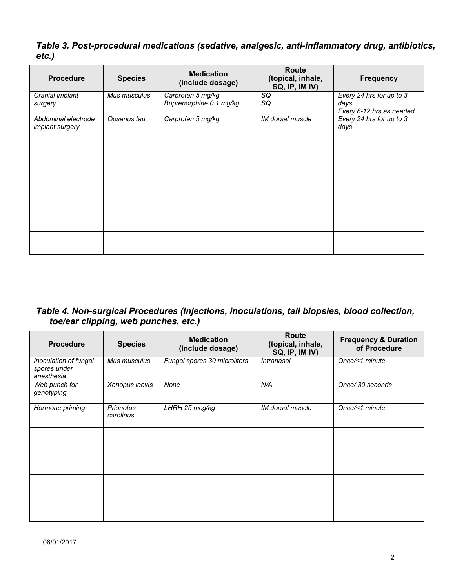*Table 3. Post-procedural medications (sedative, analgesic, anti-inflammatory drug, antibiotics, etc.)*

| <b>Procedure</b>                              | <b>Species</b> | <b>Medication</b><br>(include dosage)        | Route<br>(topical, inhale,<br>SQ, IP, IM IV) | <b>Frequency</b>                                             |
|-----------------------------------------------|----------------|----------------------------------------------|----------------------------------------------|--------------------------------------------------------------|
| Cranial implant<br>surgery                    | Mus musculus   | Carprofen 5 mg/kg<br>Buprenorphine 0.1 mg/kg | SQ<br>SQ                                     | Every 24 hrs for up to 3<br>days<br>Every 8-12 hrs as needed |
| Abdominal electrode<br><i>implant surgery</i> | Opsanus tau    | Carprofen 5 mg/kg                            | IM dorsal muscle                             | Every 24 hrs for up to 3<br>days                             |
|                                               |                |                                              |                                              |                                                              |
|                                               |                |                                              |                                              |                                                              |
|                                               |                |                                              |                                              |                                                              |
|                                               |                |                                              |                                              |                                                              |
|                                               |                |                                              |                                              |                                                              |

*Table 4. Non-surgical Procedures (Injections, inoculations, tail biopsies, blood collection, toe/ear clipping, web punches, etc.)*

| <b>Procedure</b>                                    | <b>Species</b>                | <b>Medication</b><br>(include dosage) | <b>Route</b><br>(topical, inhale,<br>SQ, IP, IM IV) | <b>Frequency &amp; Duration</b><br>of Procedure |
|-----------------------------------------------------|-------------------------------|---------------------------------------|-----------------------------------------------------|-------------------------------------------------|
| Inoculation of fungal<br>spores under<br>anesthesia | Mus musculus                  | Fungal spores 30 microliters          | <i><b>Intranasal</b></i>                            | Once/<1 minute                                  |
| Web punch for<br>genotyping                         | Xenopus laevis                | None                                  | N/A                                                 | Once/ 30 seconds                                |
| Hormone priming                                     | <b>Prionotus</b><br>carolinus | LHRH 25 mcg/kg                        | IM dorsal muscle                                    | Once/<1 minute                                  |
|                                                     |                               |                                       |                                                     |                                                 |
|                                                     |                               |                                       |                                                     |                                                 |
|                                                     |                               |                                       |                                                     |                                                 |
|                                                     |                               |                                       |                                                     |                                                 |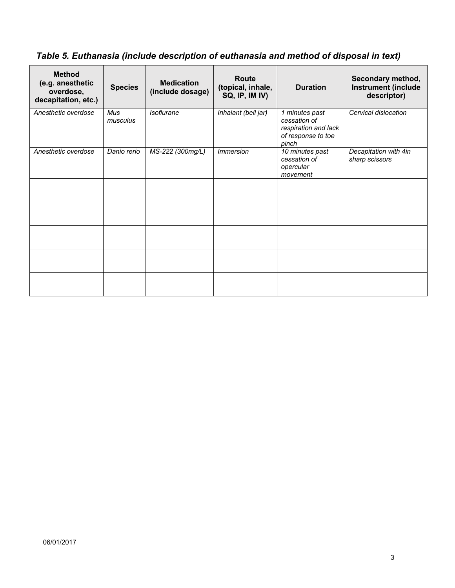## *Table 5. Euthanasia (include description of euthanasia and method of disposal in text)*

| <b>Method</b><br>(e.g. anesthetic<br>overdose,<br>decapitation, etc.) | <b>Species</b>         | <b>Medication</b><br>(include dosage) | <b>Route</b><br>(topical, inhale,<br>SQ, IP, IM IV) | <b>Duration</b>                                                                       | Secondary method,<br><b>Instrument (include</b><br>descriptor) |
|-----------------------------------------------------------------------|------------------------|---------------------------------------|-----------------------------------------------------|---------------------------------------------------------------------------------------|----------------------------------------------------------------|
| Anesthetic overdose                                                   | <b>Mus</b><br>musculus | <b>Isoflurane</b>                     | Inhalant (bell jar)                                 | 1 minutes past<br>cessation of<br>respiration and lack<br>of response to toe<br>pinch | Cervical dislocation                                           |
| Anesthetic overdose                                                   | Danio rerio            | MS-222 (300mg/L)                      | <i>Immersion</i>                                    | 10 minutes past<br>cessation of<br>opercular<br>movement                              | Decapitation with 4in<br>sharp scissors                        |
|                                                                       |                        |                                       |                                                     |                                                                                       |                                                                |
|                                                                       |                        |                                       |                                                     |                                                                                       |                                                                |
|                                                                       |                        |                                       |                                                     |                                                                                       |                                                                |
|                                                                       |                        |                                       |                                                     |                                                                                       |                                                                |
|                                                                       |                        |                                       |                                                     |                                                                                       |                                                                |